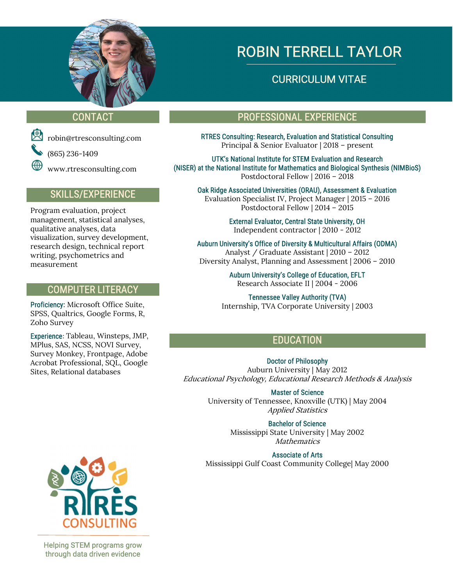

# ROBIN TERRELL TAYLOR

## CURRICULUM VITAE

(865) 236-1409

www.rtresconsulting.com

### SKILLS/EXPERIENCE

Program evaluation, project management, statistical analyses, qualitative analyses, data visualization, survey development, research design, technical report writing, psychometrics and measurement

### COMPUTER LITERACY

Proficiency: Microsoft Office Suite, SPSS, Qualtrics, Google Forms, R, Zoho Survey

Experience: Tableau, Winsteps, JMP, MPlus, SAS, NCSS, NOVI Survey, Survey Monkey, Frontpage, Adobe Acrobat Professional, SQL, Google Sites, Relational databases

 $\overline{a}$ Helping STEM programs grow through data driven evidence

## CONTACT PROFESSIONAL EXPERIENCE

 robin@rtresconsulting.com RTRES Consulting: Research, Evaluation and Statistical Consulting Principal & Senior Evaluator | 2018 – present

> UTK's National Institute for STEM Evaluation and Research (NISER) at the National Institute for Mathematics and Biological Synthesis (NIMBioS) Postdoctoral Fellow | 2016 – 2018

Oak Ridge Associated Universities (ORAU), Assessment & Evaluation Evaluation Specialist IV, Project Manager | 2015 – 2016 Postdoctoral Fellow | 2014 – 2015

> External Evaluator, Central State University, OH Independent contractor | 2010 - 2012

Auburn University's Office of Diversity & Multicultural Affairs (ODMA) Analyst / Graduate Assistant | 2010 – 2012 Diversity Analyst, Planning and Assessment | 2006 – 2010

> Auburn University's College of Education, EFLT Research Associate II | 2004 - 2006

Tennessee Valley Authority (TVA) Internship, TVA Corporate University | 2003

## EDUCATION

Doctor of Philosophy Auburn University | May 2012 Educational Psychology, Educational Research Methods & Analysis

> Master of Science University of Tennessee, Knoxville (UTK) | May 2004 Applied Statistics

> > Bachelor of Science Mississippi State University | May 2002 Mathematics

Associate of Arts Mississippi Gulf Coast Community College| May 2000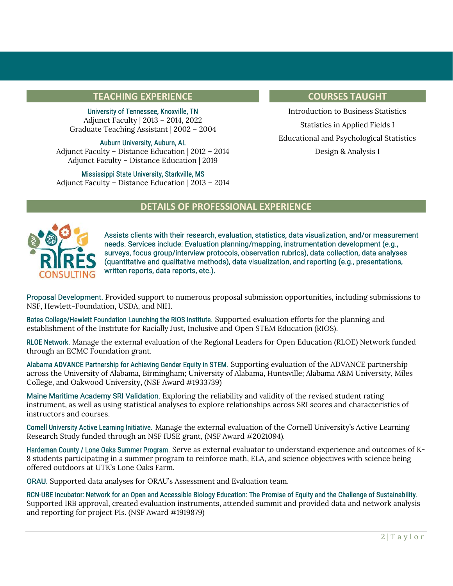#### TEACHING EXPERIENCE **TEACHING EXPERIENCE**

University of Tennessee, Knoxville, TN Adjunct Faculty | 2013 – 2014, 2022 Graduate Teaching Assistant | 2002 – 2004

Auburn University, Auburn, AL Adjunct Faculty – Distance Education | 2012 – 2014 Adjunct Faculty – Distance Education | 2019

Mississippi State University, Starkville, MS Adjunct Faculty – Distance Education | 2013 – 2014

Introduction to Business Statistics Statistics in Applied Fields I Educational and Psychological Statistics Design & Analysis I

### DETAILS OF PROFESSIONAL EXPERIENCE



Assists clients with their research, evaluation, statistics, data visualization, and/or measurement needs. Services include: Evaluation planning/mapping, instrumentation development (e.g., surveys, focus group/interview protocols, observation rubrics), data collection, data analyses (quantitative and qualitative methods), data visualization, and reporting (e.g., presentations, written reports, data reports, etc.).

Proposal Development. Provided support to numerous proposal submission opportunities, including submissions to NSF, Hewlett-Foundation, USDA, and NIH.

Bates College/Hewlett Foundation Launching the RIOS Institute. Supported evaluation efforts for the planning and establishment of the Institute for Racially Just, Inclusive and Open STEM Education (RIOS).

RLOE Network. Manage the external evaluation of the Regional Leaders for Open Education (RLOE) Network funded through an ECMC Foundation grant.

Alabama ADVANCE Partnership for Achieving Gender Equity in STEM. Supporting evaluation of the ADVANCE partnership across the University of Alabama, Birmingham; University of Alabama, Huntsville; Alabama A&M University, Miles College, and Oakwood University, (NSF Award #1933739)

Maine Maritime Academy SRI Validation. Exploring the reliability and validity of the revised student rating instrument, as well as using statistical analyses to explore relationships across SRI scores and characteristics of instructors and courses.

Cornell University Active Learning Initiative. Manage the external evaluation of the Cornell University's Active Learning Research Study funded through an NSF IUSE grant, (NSF Award #2021094).

Hardeman County / Lone Oaks Summer Program. Serve as external evaluator to understand experience and outcomes of K-8 students participating in a summer program to reinforce math, ELA, and science objectives with science being offered outdoors at UTK's Lone Oaks Farm.

ORAU. Supported data analyses for ORAU's Assessment and Evaluation team.

RCN-UBE Incubator: Network for an Open and Accessible Biology Education: The Promise of Equity and the Challenge of Sustainability. Supported IRB approval, created evaluation instruments, attended summit and provided data and network analysis and reporting for project PIs. (NSF Award #1919879)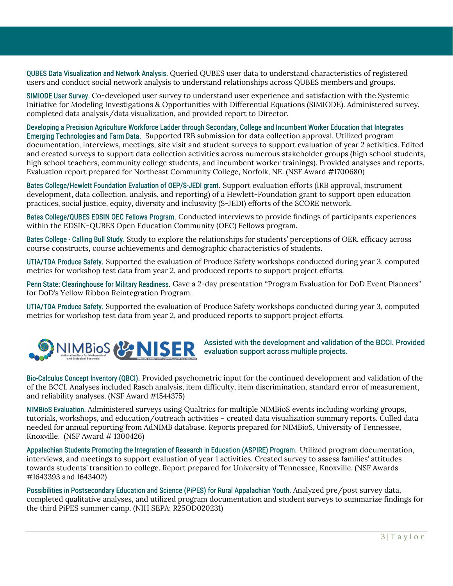QUBES Data Visualization and Network Analysis. Queried QUBES user data to understand characteristics of registered users and conduct social network analysis to understand relationships across QUBES members and groups.

SIMIODE User Survey. Co-developed user survey to understand user experience and satisfaction with the Systemic Initiative for Modeling Investigations & Opportunities with Differential Equations (SIMIODE). Administered survey, completed data analysis/data visualization, and provided report to Director.

Developing a Precision Agriculture Workforce Ladder through Secondary, College and Incumbent Worker Education that Integrates Emerging Technologies and Farm Data. Supported IRB submission for data collection approval. Utilized program documentation, interviews, meetings, site visit and student surveys to support evaluation of year 2 activities. Edited and created surveys to support data collection activities across numerous stakeholder groups (high school students, high school teachers, community college students, and incumbent worker trainings). Provided analyses and reports. Evaluation report prepared for Northeast Community College, Norfolk, NE. (NSF Award #1700680)

Bates College/Hewlett Foundation Evaluation of OEP/S-JEDI grant. Support evaluation efforts (IRB approval, instrument development, data collection, analysis, and reporting) of a Hewlett-Foundation grant to support open education practices, social justice, equity, diversity and inclusivity (S-JEDI) efforts of the SCORE network.

Bates College/QUBES EDSIN OEC Fellows Program. Conducted interviews to provide findings of participants experiences within the EDSIN-QUBES Open Education Community (OEC) Fellows program.

Bates College - Calling Bull Study. Study to explore the relationships for students' perceptions of OER, efficacy across course constructs, course achievements and demographic characteristics of students.

UTIA/TDA Produce Safety. Supported the evaluation of Produce Safety workshops conducted during year 3, computed metrics for workshop test data from year 2, and produced reports to support project efforts.

Penn State: Clearinghouse for Military Readiness. Gave a 2-day presentation "Program Evaluation for DoD Event Planners" for DoD's Yellow Ribbon Reintegration Program.

UTIA/TDA Produce Safety. Supported the evaluation of Produce Safety workshops conducted during year 3, computed metrics for workshop test data from year 2, and produced reports to support project efforts.



#### Assisted with the development and validation of the BCCI. Provided evaluation support across multiple projects.

Bio-Calculus Concept Inventory (QBCI). Provided psychometric input for the continued development and validation of the of the BCCI. Analyses included Rasch analysis, item difficulty, item discrimination, standard error of measurement, and reliability analyses. (NSF Award #1544375)

NIMBioS Evaluation. Administered surveys using Qualtrics for multiple NIMBioS events including working groups, tutorials, workshops, and education/outreach activities – created data visualization summary reports. Culled data needed for annual reporting from AdNIMB database. Reports prepared for NIMBioS, University of Tennessee, Knoxville. (NSF Award # 1300426)

Appalachian Students Promoting the Integration of Research in Education (ASPIRE) Program. Utilized program documentation, interviews, and meetings to support evaluation of year 1 activities. Created survey to assess families' attitudes towards students' transition to college. Report prepared for University of Tennessee, Knoxville. (NSF Awards #1643393 and 1643402)

Possibilities in Postsecondary Education and Science (PiPES) for Rural Appalachian Youth. Analyzed pre/post survey data, completed qualitative analyses, and utilized program documentation and student surveys to summarize findings for the third PiPES summer camp. (NIH SEPA: R25OD020231)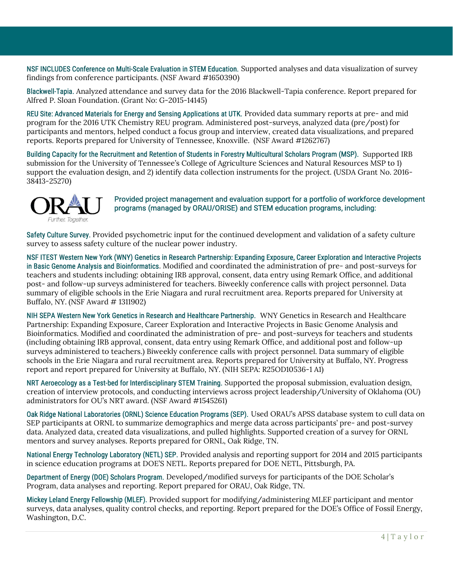NSF INCLUDES Conference on Multi-Scale Evaluation in STEM Education. Supported analyses and data visualization of survey findings from conference participants. (NSF Award #1650390)

Blackwell-Tapia. Analyzed attendance and survey data for the 2016 Blackwell-Tapia conference. Report prepared for Alfred P. Sloan Foundation. (Grant No: G-2015-14145)

REU Site: Advanced Materials for Energy and Sensing Applications at UTK. Provided data summary reports at pre- and mid program for the 2016 UTK Chemistry REU program. Administered post-surveys, analyzed data (pre/post) for participants and mentors, helped conduct a focus group and interview, created data visualizations, and prepared reports. Reports prepared for University of Tennessee, Knoxville. (NSF Award #1262767)

Building Capacity for the Recruitment and Retention of Students in Forestry Multicultural Scholars Program (MSP). Supported IRB submission for the University of Tennessee's College of Agriculture Sciences and Natural Resources MSP to 1) support the evaluation design, and 2) identify data collection instruments for the project. (USDA Grant No. 2016- 38413-25270)



Provided project management and evaluation support for a portfolio of workforce development programs (managed by ORAU/ORISE) and STEM education programs, including:

Safety Culture Survey. Provided psychometric input for the continued development and validation of a safety culture survey to assess safety culture of the nuclear power industry.

NSF ITEST Western New York (WNY) Genetics in Research Partnership: Expanding Exposure, Career Exploration and Interactive Projects in Basic Genome Analysis and Bioinformatics. Modified and coordinated the administration of pre- and post-surveys for teachers and students including: obtaining IRB approval, consent, data entry using Remark Office, and additional post- and follow-up surveys administered for teachers. Biweekly conference calls with project personnel. Data summary of eligible schools in the Erie Niagara and rural recruitment area. Reports prepared for University at Buffalo, NY. (NSF Award # 1311902)

NIH SEPA Western New York Genetics in Research and Healthcare Partnership. WNY Genetics in Research and Healthcare Partnership: Expanding Exposure, Career Exploration and Interactive Projects in Basic Genome Analysis and Bioinformatics. Modified and coordinated the administration of pre- and post-surveys for teachers and students (including obtaining IRB approval, consent, data entry using Remark Office, and additional post and follow-up surveys administered to teachers.) Biweekly conference calls with project personnel. Data summary of eligible schools in the Erie Niagara and rural recruitment area. Reports prepared for University at Buffalo, NY. Progress report and report prepared for University at Buffalo, NY. (NIH SEPA: R25OD10536-1 A1)

NRT Aeroecology as a Test-bed for Interdisciplinary STEM Training. Supported the proposal submission, evaluation design, creation of interview protocols, and conducting interviews across project leadership/University of Oklahoma (OU) administrators for OU's NRT award. (NSF Award #1545261)

Oak Ridge National Laboratories (ORNL) Science Education Programs (SEP). Used ORAU's APSS database system to cull data on SEP participants at ORNL to summarize demographics and merge data across participants' pre- and post-survey data. Analyzed data, created data visualizations, and pulled highlights. Supported creation of a survey for ORNL mentors and survey analyses. Reports prepared for ORNL, Oak Ridge, TN.

National Energy Technology Laboratory (NETL) SEP. Provided analysis and reporting support for 2014 and 2015 participants in science education programs at DOE'S NETL. Reports prepared for DOE NETL, Pittsburgh, PA.

Department of Energy (DOE) Scholars Program. Developed/modified surveys for participants of the DOE Scholar's Program, data analyses and reporting. Report prepared for ORAU, Oak Ridge, TN.

Mickey Leland Energy Fellowship (MLEF). Provided support for modifying/administering MLEF participant and mentor surveys, data analyses, quality control checks, and reporting. Report prepared for the DOE's Office of Fossil Energy, Washington, D.C.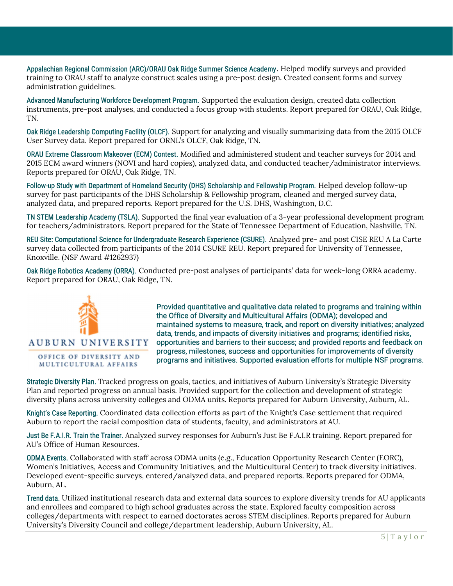Appalachian Regional Commission (ARC)/ORAU Oak Ridge Summer Science Academy. Helped modify surveys and provided training to ORAU staff to analyze construct scales using a pre-post design. Created consent forms and survey administration guidelines.

Advanced Manufacturing Workforce Development Program. Supported the evaluation design, created data collection instruments, pre-post analyses, and conducted a focus group with students. Report prepared for ORAU, Oak Ridge, TN.

Oak Ridge Leadership Computing Facility (OLCF). Support for analyzing and visually summarizing data from the 2015 OLCF User Survey data. Report prepared for ORNL's OLCF, Oak Ridge, TN.

ORAU Extreme Classroom Makeover (ECM) Contest. Modified and administered student and teacher surveys for 2014 and 2015 ECM award winners (NOVI and hard copies), analyzed data, and conducted teacher/administrator interviews. Reports prepared for ORAU, Oak Ridge, TN.

Follow-up Study with Department of Homeland Security (DHS) Scholarship and Fellowship Program. Helped develop follow-up survey for past participants of the DHS Scholarship & Fellowship program, cleaned and merged survey data, analyzed data, and prepared reports. Report prepared for the U.S. DHS, Washington, D.C.

TN STEM Leadership Academy (TSLA). Supported the final year evaluation of a 3-year professional development program for teachers/administrators. Report prepared for the State of Tennessee Department of Education, Nashville, TN.

REU Site: Computational Science for Undergraduate Research Experience (CSURE). Analyzed pre- and post CISE REU A La Carte survey data collected from participants of the 2014 CSURE REU. Report prepared for University of Tennessee, Knoxville. (NSF Award #1262937)

Oak Ridge Robotics Academy (ORRA). Conducted pre-post analyses of participants' data for week-long ORRA academy. Report prepared for ORAU, Oak Ridge, TN.



Provided quantitative and qualitative data related to programs and training within the Office of Diversity and Multicultural Affairs (ODMA); developed and maintained systems to measure, track, and report on diversity initiatives; analyzed data, trends, and impacts of diversity initiatives and programs; identified risks, opportunities and barriers to their success; and provided reports and feedback on progress, milestones, success and opportunities for improvements of diversity programs and initiatives. Supported evaluation efforts for multiple NSF programs.

Strategic Diversity Plan. Tracked progress on goals, tactics, and initiatives of Auburn University's Strategic Diversity Plan and reported progress on annual basis. Provided support for the collection and development of strategic diversity plans across university colleges and ODMA units. Reports prepared for Auburn University, Auburn, AL.

Knight's Case Reporting. Coordinated data collection efforts as part of the Knight's Case settlement that required Auburn to report the racial composition data of students, faculty, and administrators at AU.

Just Be F.A.I.R. Train the Trainer. Analyzed survey responses for Auburn's Just Be F.A.I.R training. Report prepared for AU's Office of Human Resources.

ODMA Events. Collaborated with staff across ODMA units (e.g., Education Opportunity Research Center (EORC), Women's Initiatives, Access and Community Initiatives, and the Multicultural Center) to track diversity initiatives. Developed event-specific surveys, entered/analyzed data, and prepared reports. Reports prepared for ODMA, Auburn, AL.

Trend data. Utilized institutional research data and external data sources to explore diversity trends for AU applicants and enrollees and compared to high school graduates across the state. Explored faculty composition across colleges/departments with respect to earned doctorates across STEM disciplines. Reports prepared for Auburn University's Diversity Council and college/department leadership, Auburn University, AL.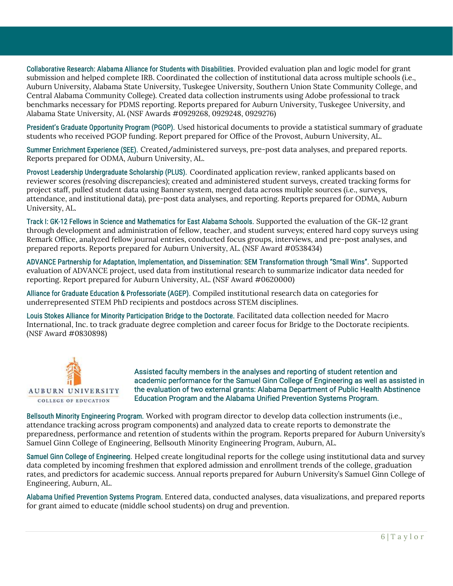Collaborative Research: Alabama Alliance for Students with Disabilities. Provided evaluation plan and logic model for grant submission and helped complete IRB. Coordinated the collection of institutional data across multiple schools (i.e., Auburn University, Alabama State University, Tuskegee University, Southern Union State Community College, and Central Alabama Community College). Created data collection instruments using Adobe professional to track benchmarks necessary for PDMS reporting. Reports prepared for Auburn University, Tuskegee University, and Alabama State University, AL (NSF Awards #0929268, 0929248, 0929276)

President's Graduate Opportunity Program (PGOP). Used historical documents to provide a statistical summary of graduate students who received PGOP funding. Report prepared for Office of the Provost, Auburn University, AL.

Summer Enrichment Experience (SEE). Created/administered surveys, pre-post data analyses, and prepared reports. Reports prepared for ODMA, Auburn University, AL.

Provost Leadership Undergraduate Scholarship (PLUS). Coordinated application review, ranked applicants based on reviewer scores (resolving discrepancies); created and administered student surveys, created tracking forms for project staff, pulled student data using Banner system, merged data across multiple sources (i.e., surveys, attendance, and institutional data), pre-post data analyses, and reporting. Reports prepared for ODMA, Auburn University, AL.

Track I: GK-12 Fellows in Science and Mathematics for East Alabama Schools. Supported the evaluation of the GK-12 grant through development and administration of fellow, teacher, and student surveys; entered hard copy surveys using Remark Office, analyzed fellow journal entries, conducted focus groups, interviews, and pre-post analyses, and prepared reports. Reports prepared for Auburn University, AL. (NSF Award #0538434)

ADVANCE Partnership for Adaptation, Implementation, and Dissemination: SEM Transformation through "Small Wins". Supported evaluation of ADVANCE project, used data from institutional research to summarize indicator data needed for reporting. Report prepared for Auburn University, AL. (NSF Award #0620000)

Alliance for Graduate Education & Professoriate (AGEP). Compiled institutional research data on categories for underrepresented STEM PhD recipients and postdocs across STEM disciplines.

Louis Stokes Alliance for Minority Participation Bridge to the Doctorate. Facilitated data collection needed for Macro International, Inc. to track graduate degree completion and career focus for Bridge to the Doctorate recipients. (NSF Award #0830898)



Assisted faculty members in the analyses and reporting of student retention and academic performance for the Samuel Ginn College of Engineering as well as assisted in the evaluation of two external grants: Alabama Department of Public Health Abstinence Education Program and the Alabama Unified Prevention Systems Program.

Bellsouth Minority Engineering Program. Worked with program director to develop data collection instruments (i.e., attendance tracking across program components) and analyzed data to create reports to demonstrate the preparedness, performance and retention of students within the program. Reports prepared for Auburn University's Samuel Ginn College of Engineering, Bellsouth Minority Engineering Program, Auburn, AL.

Samuel Ginn College of Engineering. Helped create longitudinal reports for the college using institutional data and survey data completed by incoming freshmen that explored admission and enrollment trends of the college, graduation rates, and predictors for academic success. Annual reports prepared for Auburn University's Samuel Ginn College of Engineering, Auburn, AL.

Alabama Unified Prevention Systems Program. Entered data, conducted analyses, data visualizations, and prepared reports for grant aimed to educate (middle school students) on drug and prevention.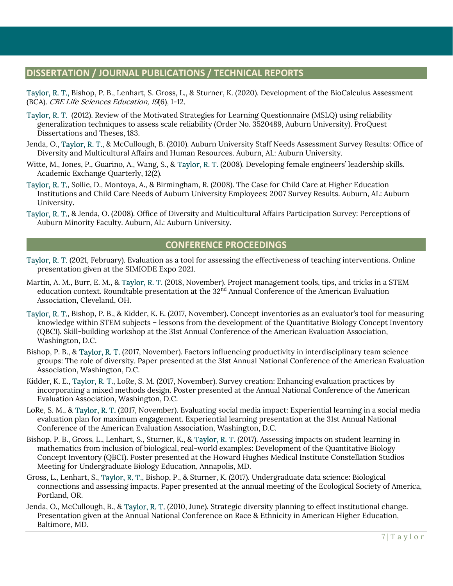## DISSERTATION / JOURNAL PUBLICATIONS / TECHNICAL REPORTS

Taylor, R. T., Bishop, P. B., Lenhart, S. Gross, L., & Sturner, K. (2020). Development of the BioCalculus Assessment (BCA). CBE Life Sciences Education, 19(6), 1-12.

- Taylor, R. T. (2012). Review of the Motivated Strategies for Learning Questionnaire (MSLQ) using reliability generalization techniques to assess scale reliability (Order No. 3520489, Auburn University). ProQuest Dissertations and Theses, 183.
- Jenda, O., Taylor, R. T., & McCullough, B. (2010). Auburn University Staff Needs Assessment Survey Results: Office of Diversity and Multicultural Affairs and Human Resources. Auburn, AL: Auburn University.
- Witte, M., Jones, P., Guarino, A., Wang, S., & Taylor, R. T. (2008). Developing female engineers' leadership skills. Academic Exchange Quarterly, 12(2).
- Taylor, R. T., Sollie, D., Montoya, A., & Birmingham, R. (2008). The Case for Child Care at Higher Education Institutions and Child Care Needs of Auburn University Employees: 2007 Survey Results. Auburn, AL: Auburn University.
- Taylor, R. T., & Jenda, O. (2008). Office of Diversity and Multicultural Affairs Participation Survey: Perceptions of Auburn Minority Faculty. Auburn, AL: Auburn University.

#### CONFERENCE PROCEEDINGS

- Taylor, R. T. (2021, February). Evaluation as a tool for assessing the effectiveness of teaching interventions. Online presentation given at the SIMIODE Expo 2021.
- Martin, A. M., Burr, E. M., & Taylor, R. T. (2018, November). Project management tools, tips, and tricks in a STEM education context. Roundtable presentation at the 32<sup>nd</sup> Annual Conference of the American Evaluation Association, Cleveland, OH.
- Taylor, R. T., Bishop, P. B., & Kidder, K. E. (2017, November). Concept inventories as an evaluator's tool for measuring knowledge within STEM subjects – lessons from the development of the Quantitative Biology Concept Inventory (QBCI). Skill-building workshop at the 31st Annual Conference of the American Evaluation Association, Washington, D.C.
- Bishop, P. B., & Taylor, R. T. (2017, November). Factors influencing productivity in interdisciplinary team science groups: The role of diversity. Paper presented at the 31st Annual National Conference of the American Evaluation Association, Washington, D.C.
- Kidder, K. E., Taylor, R. T., LoRe, S. M. (2017, November). Survey creation: Enhancing evaluation practices by incorporating a mixed methods design. Poster presented at the Annual National Conference of the American Evaluation Association, Washington, D.C.
- LoRe, S. M., & Taylor, R. T. (2017, November). Evaluating social media impact: Experiential learning in a social media evaluation plan for maximum engagement. Experiential learning presentation at the 31st Annual National Conference of the American Evaluation Association, Washington, D.C.
- Bishop, P. B., Gross, L., Lenhart, S., Sturner, K., & Taylor, R. T. (2017). Assessing impacts on student learning in mathematics from inclusion of biological, real-world examples: Development of the Quantitative Biology Concept Inventory (QBCI). Poster presented at the Howard Hughes Medical Institute Constellation Studios Meeting for Undergraduate Biology Education, Annapolis, MD.
- Gross, L., Lenhart, S., Taylor, R. T., Bishop, P., & Sturner, K. (2017). Undergraduate data science: Biological connections and assessing impacts. Paper presented at the annual meeting of the Ecological Society of America, Portland, OR.
- Jenda, O., McCullough, B., & Taylor, R. T. (2010, June). Strategic diversity planning to effect institutional change. Presentation given at the Annual National Conference on Race & Ethnicity in American Higher Education, Baltimore, MD.